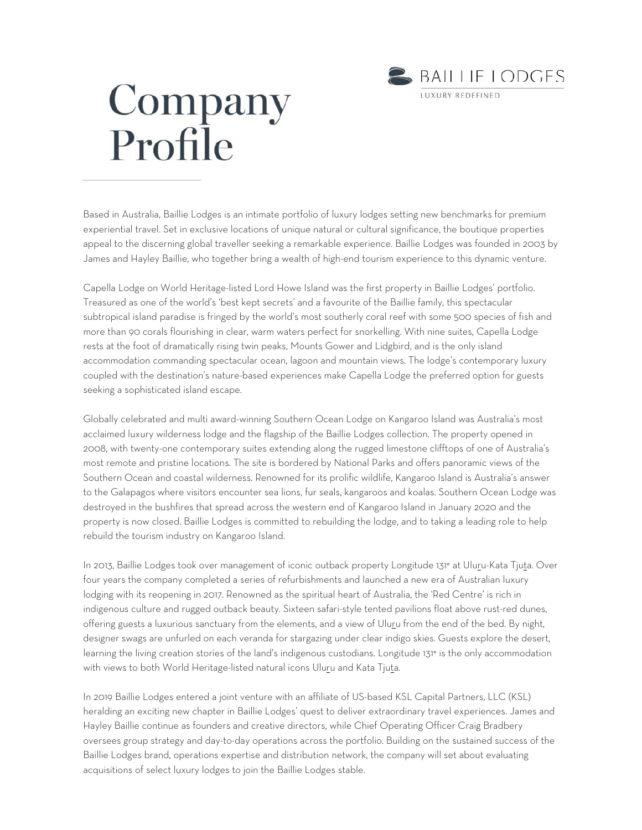

## Company Profile

Based in Australia, Baillie Lodges is an intimate portfolio of luxury lodges setting new benchmarks for premium experiential travel. Set in exclusive locations of unique natural or cultural significance, the boutique properties appeal to the discerning global traveller seeking a remarkable experience. Baillie Lodges was founded in 2003 by James and Hayley Baillie, who together bring a wealth of high-end tourism experience to this dynamic venture.

Capella Lodge on World Heritage-listed Lord Howe Island was the first property in Baillie Lodges' portfolio. Treasured as one of the world's 'best kept secrets' and a favourite of the Baillie family, this spectacular subtropical island paradise is fringed by the world's most southerly coral reef with some 500 species of fish and more than 90 corals flourishing in clear, warm waters perfect for snorkelling. With nine suites, Capella Lodge rests at the foot of dramatically rising twin peaks, Mounts Gower and Lidgbird, and is the only island accommodation commanding spectacular ocean, lagoon and mountain views. The lodge's contemporary luxury coupled with the destination's nature-based experiences make Capella Lodge the preferred option for guests seeking a sophisticated island escape.

Globally celebrated and multi award-winning Southern Ocean Lodge on Kangaroo Island was Australia's most acclaimed luxury wilderness lodge and the flagship of the Baillie Lodges collection. The property opened in 2008, with twenty-one contemporary suites extending along the rugged limestone clifftops of one of Australia's most remote and pristine locations. The site is bordered by National Parks and offers panoramic views of the Southern Ocean and coastal wilderness. Renowned for its prolific wildlife, Kangaroo Island is Australia's answer to the Galapagos where visitors encounter sea lions, fur seals, kangaroos and koalas. Southern Ocean Lodge was destroyed in the bushfires that spread across the western end of Kangaroo Island in January 2020 and the property is now closed. Baillie Lodges is committed to rebuilding the lodge, and to taking a leading role to help rebuild the tourism industry on Kangaroo Island.

In 2013, Baillie Lodges took over management of iconic outback property Longitude 131° at Uluru-Kata Tjuta. Over four years the company completed a series of refurbishments and launched a new era of Australian luxury lodging with its reopening in 2017. Renowned as the spiritual heart of Australia, the 'Red Centre' is rich in indigenous culture and rugged outback beauty. Sixteen safari-style tented pavilions float above rust-red dunes, offering guests a luxurious sanctuary from the elements, and a view of Uluru from the end of the bed. By night, designer swags are unfurled on each veranda for stargazing under clear indigo skies. Guests explore the desert, learning the living creation stories of the land's indigenous custodians. Longitude 131° is the only accommodation with views to both World Heritage-listed natural icons Uluru and Kata Tjuta.

In 2019 Baillie Lodges entered a joint venture with an affiliate of US-based KSL Capital Partners, LLC (KSL) heralding an exciting new chapter in Baillie Lodges' quest to deliver extraordinary travel experiences. James and Hayley Baillie continue as founders and creative directors, while Chief Operating Officer Craig Bradbery oversees group strategy and day-to-day operations across the portfolio. Building on the sustained success of the Baillie Lodges brand, operations expertise and distribution network, the company will set about evaluating acquisitions of select luxury lodges to join the Baillie Lodges stable.